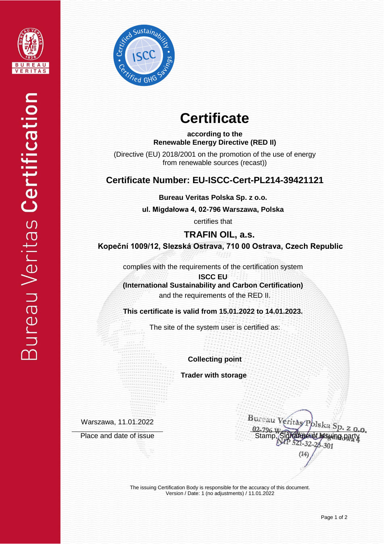



# **Certificate**

**according to the Renewable Energy Directive (RED II)**

(Directive (EU) 2018/2001 on the promotion of the use of energy from renewable sources (recast))

### **Certificate Number: EU-ISCC-Cert-PL214-39421121**

**Bureau Veritas Polska Sp. z o.o.**

**ul. Migdałowa 4, 02-796 Warszawa, Polska** 

certifies that

**TRAFIN OIL, a.s. Kopeční 1009/12, Slezská Ostrava, 710 00 Ostrava, Czech Republic**

complies with the requirements of the certification system

**ISCC EU (International Sustainability and Carbon Certification)** and the requirements of the RED II.

**This certificate is valid from 15.01.2022 to 14.01.2023.**

The site of the system user is certified as:

**Collecting point**

 **Trader with storage**

Warszawa, 11.01.2022

Place and date of issue Stamp, Stamp, Stamp, Stamp, Stamp, Stamp, Stamp, Stamp, Stamp, Stamp, Stamp,  $P$ 

Bureau Veritas/P lska S  $28 - 301$ 

The issuing Certification Body is responsible for the accuracy of this document. Version / Date: 1 (no adjustments) / 11.01.2022